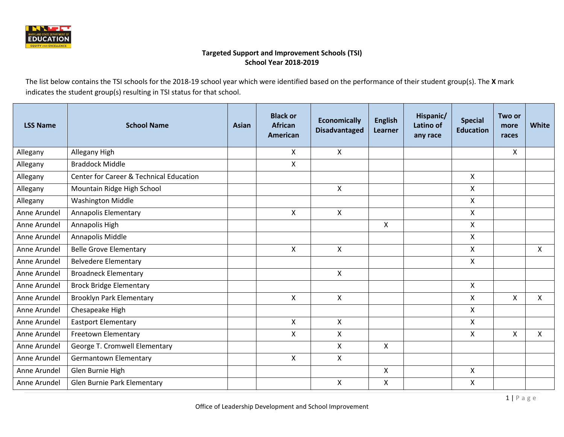

The list below contains the TSI schools for the 2018-19 school year which were identified based on the performance of their student group(s). The **X** mark indicates the student group(s) resulting in TSI status for that school.

| <b>LSS Name</b> | <b>School Name</b>                      | Asian | <b>Black or</b><br><b>African</b><br>American | <b>Economically</b><br><b>Disadvantaged</b> | <b>English</b><br><b>Learner</b> | Hispanic/<br>Latino of<br>any race | <b>Special</b><br><b>Education</b> | Two or<br>more<br>races | <b>White</b>   |
|-----------------|-----------------------------------------|-------|-----------------------------------------------|---------------------------------------------|----------------------------------|------------------------------------|------------------------------------|-------------------------|----------------|
| Allegany        | Allegany High                           |       | X                                             | $\mathsf{X}$                                |                                  |                                    |                                    | $\mathsf{X}$            |                |
| Allegany        | <b>Braddock Middle</b>                  |       | $\pmb{\times}$                                |                                             |                                  |                                    |                                    |                         |                |
| Allegany        | Center for Career & Technical Education |       |                                               |                                             |                                  |                                    | X                                  |                         |                |
| Allegany        | Mountain Ridge High School              |       |                                               | $\mathsf{X}$                                |                                  |                                    | X                                  |                         |                |
| Allegany        | <b>Washington Middle</b>                |       |                                               |                                             |                                  |                                    | X                                  |                         |                |
| Anne Arundel    | <b>Annapolis Elementary</b>             |       | $\mathsf{X}$                                  | $\mathsf{X}$                                |                                  |                                    | Χ                                  |                         |                |
| Anne Arundel    | Annapolis High                          |       |                                               |                                             | X                                |                                    | X                                  |                         |                |
| Anne Arundel    | Annapolis Middle                        |       |                                               |                                             |                                  |                                    | $\mathsf{X}$                       |                         |                |
| Anne Arundel    | <b>Belle Grove Elementary</b>           |       | X                                             | $\boldsymbol{\mathsf{X}}$                   |                                  |                                    | X                                  |                         | $\pmb{\times}$ |
| Anne Arundel    | <b>Belvedere Elementary</b>             |       |                                               |                                             |                                  |                                    | X                                  |                         |                |
| Anne Arundel    | <b>Broadneck Elementary</b>             |       |                                               | $\mathsf{X}$                                |                                  |                                    |                                    |                         |                |
| Anne Arundel    | <b>Brock Bridge Elementary</b>          |       |                                               |                                             |                                  |                                    | X                                  |                         |                |
| Anne Arundel    | <b>Brooklyn Park Elementary</b>         |       | $\mathsf{X}$                                  | $\mathsf{X}$                                |                                  |                                    | $\mathsf{X}$                       | X                       | $\mathsf{x}$   |
| Anne Arundel    | Chesapeake High                         |       |                                               |                                             |                                  |                                    | $\mathsf{X}$                       |                         |                |
| Anne Arundel    | <b>Eastport Elementary</b>              |       | $\mathsf{X}$                                  | X                                           |                                  |                                    | X                                  |                         |                |
| Anne Arundel    | Freetown Elementary                     |       | X                                             | X                                           |                                  |                                    | X                                  | X                       | X              |
| Anne Arundel    | George T. Cromwell Elementary           |       |                                               | X                                           | X                                |                                    |                                    |                         |                |
| Anne Arundel    | <b>Germantown Elementary</b>            |       | $\mathsf{X}$                                  | X                                           |                                  |                                    |                                    |                         |                |
| Anne Arundel    | Glen Burnie High                        |       |                                               |                                             | $\mathsf{X}$                     |                                    | X                                  |                         |                |
| Anne Arundel    | Glen Burnie Park Elementary             |       |                                               | $\boldsymbol{\mathsf{X}}$                   | X                                |                                    | Χ                                  |                         |                |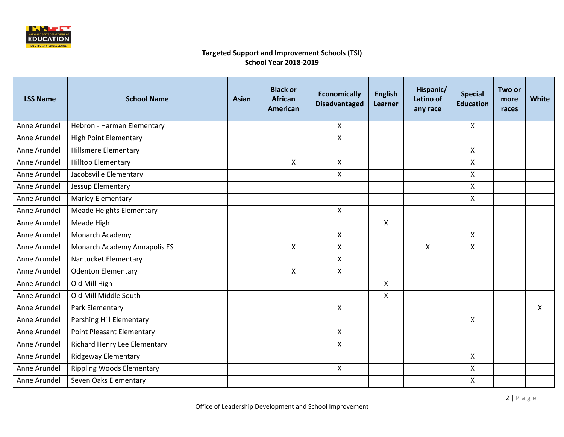

| <b>LSS Name</b> | <b>School Name</b>               | Asian | <b>Black or</b><br><b>African</b><br><b>American</b> | <b>Economically</b><br><b>Disadvantaged</b> | <b>English</b><br>Learner | Hispanic/<br>Latino of<br>any race | <b>Special</b><br><b>Education</b> | Two or<br>more<br>races | <b>White</b>              |
|-----------------|----------------------------------|-------|------------------------------------------------------|---------------------------------------------|---------------------------|------------------------------------|------------------------------------|-------------------------|---------------------------|
| Anne Arundel    | Hebron - Harman Elementary       |       |                                                      | X                                           |                           |                                    | $\mathsf{X}$                       |                         |                           |
| Anne Arundel    | <b>High Point Elementary</b>     |       |                                                      | X                                           |                           |                                    |                                    |                         |                           |
| Anne Arundel    | <b>Hillsmere Elementary</b>      |       |                                                      |                                             |                           |                                    | $\mathsf{X}$                       |                         |                           |
| Anne Arundel    | <b>Hilltop Elementary</b>        |       | $\boldsymbol{\mathsf{X}}$                            | $\mathsf{X}$                                |                           |                                    | $\mathsf{X}$                       |                         |                           |
| Anne Arundel    | Jacobsville Elementary           |       |                                                      | X                                           |                           |                                    | $\mathsf{X}$                       |                         |                           |
| Anne Arundel    | Jessup Elementary                |       |                                                      |                                             |                           |                                    | $\mathsf{X}$                       |                         |                           |
| Anne Arundel    | Marley Elementary                |       |                                                      |                                             |                           |                                    | $\mathsf{X}$                       |                         |                           |
| Anne Arundel    | <b>Meade Heights Elementary</b>  |       |                                                      | $\mathsf{X}$                                |                           |                                    |                                    |                         |                           |
| Anne Arundel    | Meade High                       |       |                                                      |                                             | $\mathsf{X}$              |                                    |                                    |                         |                           |
| Anne Arundel    | Monarch Academy                  |       |                                                      | X                                           |                           |                                    | $\mathsf{X}$                       |                         |                           |
| Anne Arundel    | Monarch Academy Annapolis ES     |       | $\mathsf{X}$                                         | $\mathsf{X}$                                |                           | $\mathsf{X}$                       | $\mathsf{x}$                       |                         |                           |
| Anne Arundel    | Nantucket Elementary             |       |                                                      | X                                           |                           |                                    |                                    |                         |                           |
| Anne Arundel    | <b>Odenton Elementary</b>        |       | X                                                    | $\mathsf{X}$                                |                           |                                    |                                    |                         |                           |
| Anne Arundel    | Old Mill High                    |       |                                                      |                                             | X                         |                                    |                                    |                         |                           |
| Anne Arundel    | Old Mill Middle South            |       |                                                      |                                             | $\mathsf{x}$              |                                    |                                    |                         |                           |
| Anne Arundel    | Park Elementary                  |       |                                                      | X                                           |                           |                                    |                                    |                         | $\boldsymbol{\mathsf{X}}$ |
| Anne Arundel    | Pershing Hill Elementary         |       |                                                      |                                             |                           |                                    | $\mathsf{X}$                       |                         |                           |
| Anne Arundel    | <b>Point Pleasant Elementary</b> |       |                                                      | $\mathsf{X}$                                |                           |                                    |                                    |                         |                           |
| Anne Arundel    | Richard Henry Lee Elementary     |       |                                                      | $\mathsf{X}$                                |                           |                                    |                                    |                         |                           |
| Anne Arundel    | <b>Ridgeway Elementary</b>       |       |                                                      |                                             |                           |                                    | $\mathsf{X}$                       |                         |                           |
| Anne Arundel    | <b>Rippling Woods Elementary</b> |       |                                                      | $\mathsf{X}$                                |                           |                                    | $\mathsf{X}$                       |                         |                           |
| Anne Arundel    | Seven Oaks Elementary            |       |                                                      |                                             |                           |                                    | X                                  |                         |                           |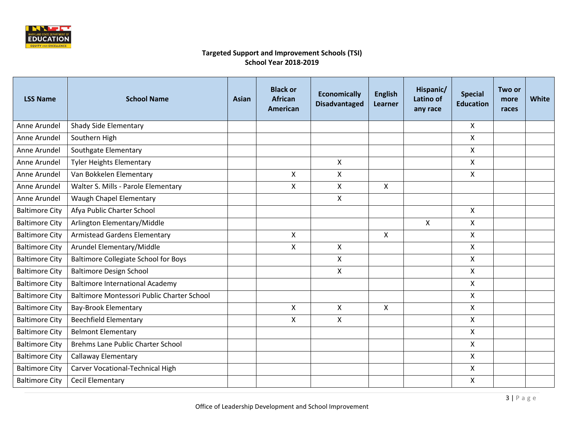

| <b>LSS Name</b>       | <b>School Name</b>                          | <b>Asian</b> | <b>Black or</b><br><b>African</b><br><b>American</b> | <b>Economically</b><br><b>Disadvantaged</b> | <b>English</b><br><b>Learner</b> | Hispanic/<br>Latino of<br>any race | <b>Special</b><br><b>Education</b> | Two or<br>more<br>races | White |
|-----------------------|---------------------------------------------|--------------|------------------------------------------------------|---------------------------------------------|----------------------------------|------------------------------------|------------------------------------|-------------------------|-------|
| Anne Arundel          | Shady Side Elementary                       |              |                                                      |                                             |                                  |                                    | X                                  |                         |       |
| Anne Arundel          | Southern High                               |              |                                                      |                                             |                                  |                                    | X                                  |                         |       |
| Anne Arundel          | Southgate Elementary                        |              |                                                      |                                             |                                  |                                    | X                                  |                         |       |
| Anne Arundel          | <b>Tyler Heights Elementary</b>             |              |                                                      | $\mathsf{X}$                                |                                  |                                    | X                                  |                         |       |
| Anne Arundel          | Van Bokkelen Elementary                     |              | $\mathsf{X}$                                         | $\mathsf{X}$                                |                                  |                                    | X                                  |                         |       |
| Anne Arundel          | Walter S. Mills - Parole Elementary         |              | X                                                    | X.                                          | X                                |                                    |                                    |                         |       |
| Anne Arundel          | Waugh Chapel Elementary                     |              |                                                      | X                                           |                                  |                                    |                                    |                         |       |
| <b>Baltimore City</b> | Afya Public Charter School                  |              |                                                      |                                             |                                  |                                    | $\mathsf{X}$                       |                         |       |
| <b>Baltimore City</b> | Arlington Elementary/Middle                 |              |                                                      |                                             |                                  | X                                  | X                                  |                         |       |
| <b>Baltimore City</b> | <b>Armistead Gardens Elementary</b>         |              | $\mathsf{X}$                                         |                                             | $\mathsf{X}$                     |                                    | X                                  |                         |       |
| <b>Baltimore City</b> | Arundel Elementary/Middle                   |              | $\mathsf{X}$                                         | $\mathsf{x}$                                |                                  |                                    | X                                  |                         |       |
| <b>Baltimore City</b> | <b>Baltimore Collegiate School for Boys</b> |              |                                                      | X                                           |                                  |                                    | X                                  |                         |       |
| <b>Baltimore City</b> | <b>Baltimore Design School</b>              |              |                                                      | X                                           |                                  |                                    | X                                  |                         |       |
| <b>Baltimore City</b> | <b>Baltimore International Academy</b>      |              |                                                      |                                             |                                  |                                    | X                                  |                         |       |
| <b>Baltimore City</b> | Baltimore Montessori Public Charter School  |              |                                                      |                                             |                                  |                                    | X                                  |                         |       |
| <b>Baltimore City</b> | <b>Bay-Brook Elementary</b>                 |              | X                                                    | X                                           | X                                |                                    | X                                  |                         |       |
| <b>Baltimore City</b> | <b>Beechfield Elementary</b>                |              | $\boldsymbol{\mathsf{X}}$                            | $\mathsf{X}$                                |                                  |                                    | $\mathsf{X}$                       |                         |       |
| <b>Baltimore City</b> | <b>Belmont Elementary</b>                   |              |                                                      |                                             |                                  |                                    | X                                  |                         |       |
| <b>Baltimore City</b> | Brehms Lane Public Charter School           |              |                                                      |                                             |                                  |                                    | $\mathsf{X}$                       |                         |       |
| <b>Baltimore City</b> | <b>Callaway Elementary</b>                  |              |                                                      |                                             |                                  |                                    | X                                  |                         |       |
| <b>Baltimore City</b> | Carver Vocational-Technical High            |              |                                                      |                                             |                                  |                                    | $\mathsf{X}$                       |                         |       |
| <b>Baltimore City</b> | <b>Cecil Elementary</b>                     |              |                                                      |                                             |                                  |                                    | X                                  |                         |       |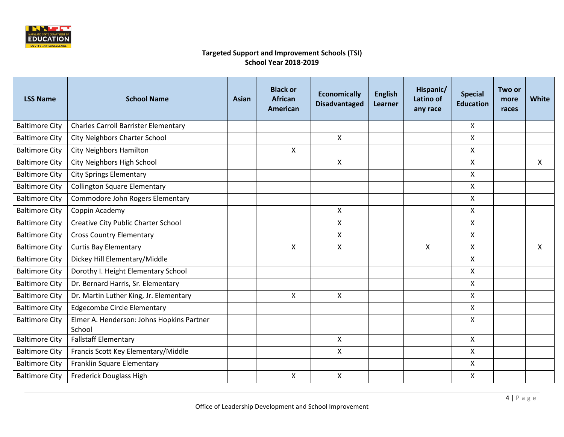

| <b>LSS Name</b>       | <b>School Name</b>                                  | <b>Asian</b> | <b>Black or</b><br><b>African</b><br><b>American</b> | <b>Economically</b><br><b>Disadvantaged</b> | <b>English</b><br><b>Learner</b> | Hispanic/<br>Latino of<br>any race | <b>Special</b><br><b>Education</b> | Two or<br>more<br>races | <b>White</b>              |
|-----------------------|-----------------------------------------------------|--------------|------------------------------------------------------|---------------------------------------------|----------------------------------|------------------------------------|------------------------------------|-------------------------|---------------------------|
| <b>Baltimore City</b> | <b>Charles Carroll Barrister Elementary</b>         |              |                                                      |                                             |                                  |                                    | X                                  |                         |                           |
| <b>Baltimore City</b> | <b>City Neighbors Charter School</b>                |              |                                                      | $\mathsf{X}$                                |                                  |                                    | X                                  |                         |                           |
| <b>Baltimore City</b> | <b>City Neighbors Hamilton</b>                      |              | X                                                    |                                             |                                  |                                    | X                                  |                         |                           |
| <b>Baltimore City</b> | City Neighbors High School                          |              |                                                      | X                                           |                                  |                                    | X                                  |                         | X                         |
| <b>Baltimore City</b> | <b>City Springs Elementary</b>                      |              |                                                      |                                             |                                  |                                    | X                                  |                         |                           |
| <b>Baltimore City</b> | <b>Collington Square Elementary</b>                 |              |                                                      |                                             |                                  |                                    | X                                  |                         |                           |
| <b>Baltimore City</b> | Commodore John Rogers Elementary                    |              |                                                      |                                             |                                  |                                    | X                                  |                         |                           |
| <b>Baltimore City</b> | Coppin Academy                                      |              |                                                      | Χ                                           |                                  |                                    | X                                  |                         |                           |
| <b>Baltimore City</b> | <b>Creative City Public Charter School</b>          |              |                                                      | X                                           |                                  |                                    | X                                  |                         |                           |
| <b>Baltimore City</b> | <b>Cross Country Elementary</b>                     |              |                                                      | X                                           |                                  |                                    | X                                  |                         |                           |
| <b>Baltimore City</b> | <b>Curtis Bay Elementary</b>                        |              | X                                                    | X                                           |                                  | X                                  | X                                  |                         | $\boldsymbol{\mathsf{X}}$ |
| <b>Baltimore City</b> | Dickey Hill Elementary/Middle                       |              |                                                      |                                             |                                  |                                    | $\pmb{\mathsf{X}}$                 |                         |                           |
| <b>Baltimore City</b> | Dorothy I. Height Elementary School                 |              |                                                      |                                             |                                  |                                    | X                                  |                         |                           |
| <b>Baltimore City</b> | Dr. Bernard Harris, Sr. Elementary                  |              |                                                      |                                             |                                  |                                    | X                                  |                         |                           |
| <b>Baltimore City</b> | Dr. Martin Luther King, Jr. Elementary              |              | $\mathsf{X}$                                         | X                                           |                                  |                                    | X                                  |                         |                           |
| <b>Baltimore City</b> | <b>Edgecombe Circle Elementary</b>                  |              |                                                      |                                             |                                  |                                    | X                                  |                         |                           |
| <b>Baltimore City</b> | Elmer A. Henderson: Johns Hopkins Partner<br>School |              |                                                      |                                             |                                  |                                    | X                                  |                         |                           |
| <b>Baltimore City</b> | <b>Fallstaff Elementary</b>                         |              |                                                      | X                                           |                                  |                                    | $\mathsf{X}$                       |                         |                           |
| <b>Baltimore City</b> | Francis Scott Key Elementary/Middle                 |              |                                                      | X                                           |                                  |                                    | X                                  |                         |                           |
| <b>Baltimore City</b> | Franklin Square Elementary                          |              |                                                      |                                             |                                  |                                    | X                                  |                         |                           |
| <b>Baltimore City</b> | Frederick Douglass High                             |              | X                                                    | X                                           |                                  |                                    | X                                  |                         |                           |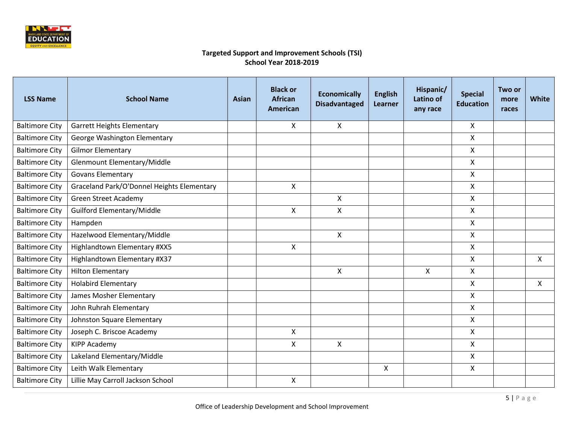

| <b>LSS Name</b>       | <b>School Name</b>                         | Asian | <b>Black or</b><br><b>African</b><br><b>American</b> | <b>Economically</b><br><b>Disadvantaged</b> | <b>English</b><br>Learner | Hispanic/<br>Latino of<br>any race | <b>Special</b><br><b>Education</b> | Two or<br>more<br>races | White        |
|-----------------------|--------------------------------------------|-------|------------------------------------------------------|---------------------------------------------|---------------------------|------------------------------------|------------------------------------|-------------------------|--------------|
| <b>Baltimore City</b> | <b>Garrett Heights Elementary</b>          |       | X                                                    | X                                           |                           |                                    | $\mathsf{X}$                       |                         |              |
| <b>Baltimore City</b> | George Washington Elementary               |       |                                                      |                                             |                           |                                    | $\pmb{\times}$                     |                         |              |
| <b>Baltimore City</b> | <b>Gilmor Elementary</b>                   |       |                                                      |                                             |                           |                                    | X                                  |                         |              |
| <b>Baltimore City</b> | Glenmount Elementary/Middle                |       |                                                      |                                             |                           |                                    | X                                  |                         |              |
| <b>Baltimore City</b> | <b>Govans Elementary</b>                   |       |                                                      |                                             |                           |                                    | X                                  |                         |              |
| <b>Baltimore City</b> | Graceland Park/O'Donnel Heights Elementary |       | X                                                    |                                             |                           |                                    | X                                  |                         |              |
| <b>Baltimore City</b> | <b>Green Street Academy</b>                |       |                                                      | $\mathsf{x}$                                |                           |                                    | $\mathsf{X}$                       |                         |              |
| <b>Baltimore City</b> | Guilford Elementary/Middle                 |       | $\boldsymbol{\mathsf{X}}$                            | X                                           |                           |                                    | $\mathsf{X}$                       |                         |              |
| <b>Baltimore City</b> | Hampden                                    |       |                                                      |                                             |                           |                                    | $\mathsf{X}$                       |                         |              |
| <b>Baltimore City</b> | Hazelwood Elementary/Middle                |       |                                                      | X                                           |                           |                                    | $\mathsf{X}$                       |                         |              |
| <b>Baltimore City</b> | Highlandtown Elementary #XX5               |       | $\mathsf{X}$                                         |                                             |                           |                                    | $\mathsf{X}$                       |                         |              |
| <b>Baltimore City</b> | Highlandtown Elementary #X37               |       |                                                      |                                             |                           |                                    | $\boldsymbol{\mathsf{X}}$          |                         | $\mathsf{X}$ |
| <b>Baltimore City</b> | <b>Hilton Elementary</b>                   |       |                                                      | X                                           |                           | X                                  | $\boldsymbol{\mathsf{X}}$          |                         |              |
| <b>Baltimore City</b> | <b>Holabird Elementary</b>                 |       |                                                      |                                             |                           |                                    | $\mathsf{X}$                       |                         | $\mathsf{X}$ |
| <b>Baltimore City</b> | James Mosher Elementary                    |       |                                                      |                                             |                           |                                    | X                                  |                         |              |
| <b>Baltimore City</b> | John Ruhrah Elementary                     |       |                                                      |                                             |                           |                                    | X                                  |                         |              |
| <b>Baltimore City</b> | Johnston Square Elementary                 |       |                                                      |                                             |                           |                                    | $\pmb{\times}$                     |                         |              |
| <b>Baltimore City</b> | Joseph C. Briscoe Academy                  |       | $\mathsf{X}$                                         |                                             |                           |                                    | $\pmb{\times}$                     |                         |              |
| <b>Baltimore City</b> | <b>KIPP Academy</b>                        |       | $\mathsf{X}$                                         | X                                           |                           |                                    | $\mathsf{X}$                       |                         |              |
| <b>Baltimore City</b> | Lakeland Elementary/Middle                 |       |                                                      |                                             |                           |                                    | $\mathsf{X}$                       |                         |              |
| <b>Baltimore City</b> | Leith Walk Elementary                      |       |                                                      |                                             | $\mathsf{X}$              |                                    | $\mathsf{X}$                       |                         |              |
| <b>Baltimore City</b> | Lillie May Carroll Jackson School          |       | $\pmb{\mathsf{X}}$                                   |                                             |                           |                                    |                                    |                         |              |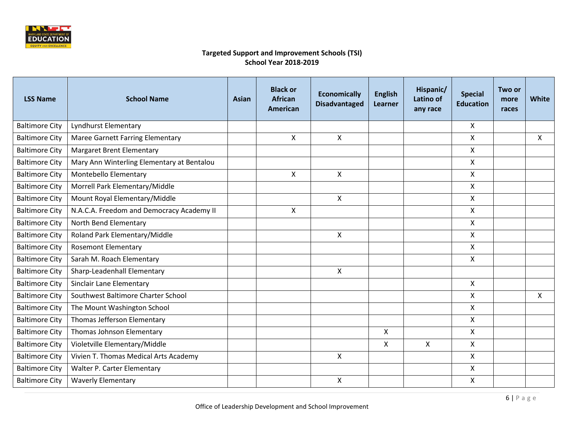

| <b>LSS Name</b>       | <b>School Name</b>                         | Asian | <b>Black or</b><br><b>African</b><br><b>American</b> | <b>Economically</b><br><b>Disadvantaged</b> | <b>English</b><br>Learner | Hispanic/<br>Latino of<br>any race | <b>Special</b><br><b>Education</b> | Two or<br>more<br>races | White |
|-----------------------|--------------------------------------------|-------|------------------------------------------------------|---------------------------------------------|---------------------------|------------------------------------|------------------------------------|-------------------------|-------|
| <b>Baltimore City</b> | <b>Lyndhurst Elementary</b>                |       |                                                      |                                             |                           |                                    | X                                  |                         |       |
| <b>Baltimore City</b> | <b>Maree Garnett Farring Elementary</b>    |       | X                                                    | X                                           |                           |                                    | X                                  |                         | X     |
| <b>Baltimore City</b> | <b>Margaret Brent Elementary</b>           |       |                                                      |                                             |                           |                                    | X                                  |                         |       |
| <b>Baltimore City</b> | Mary Ann Winterling Elementary at Bentalou |       |                                                      |                                             |                           |                                    | X                                  |                         |       |
| <b>Baltimore City</b> | Montebello Elementary                      |       | X                                                    | $\mathsf{X}$                                |                           |                                    | X                                  |                         |       |
| <b>Baltimore City</b> | Morrell Park Elementary/Middle             |       |                                                      |                                             |                           |                                    | X                                  |                         |       |
| <b>Baltimore City</b> | Mount Royal Elementary/Middle              |       |                                                      | $\mathsf{x}$                                |                           |                                    | X                                  |                         |       |
| <b>Baltimore City</b> | N.A.C.A. Freedom and Democracy Academy II  |       | X                                                    |                                             |                           |                                    | X                                  |                         |       |
| <b>Baltimore City</b> | North Bend Elementary                      |       |                                                      |                                             |                           |                                    | X                                  |                         |       |
| <b>Baltimore City</b> | Roland Park Elementary/Middle              |       |                                                      | X                                           |                           |                                    | X                                  |                         |       |
| <b>Baltimore City</b> | <b>Rosemont Elementary</b>                 |       |                                                      |                                             |                           |                                    | X                                  |                         |       |
| <b>Baltimore City</b> | Sarah M. Roach Elementary                  |       |                                                      |                                             |                           |                                    | X                                  |                         |       |
| <b>Baltimore City</b> | Sharp-Leadenhall Elementary                |       |                                                      | X                                           |                           |                                    |                                    |                         |       |
| <b>Baltimore City</b> | Sinclair Lane Elementary                   |       |                                                      |                                             |                           |                                    | X                                  |                         |       |
| <b>Baltimore City</b> | Southwest Baltimore Charter School         |       |                                                      |                                             |                           |                                    | X                                  |                         | X     |
| <b>Baltimore City</b> | The Mount Washington School                |       |                                                      |                                             |                           |                                    | X                                  |                         |       |
| <b>Baltimore City</b> | Thomas Jefferson Elementary                |       |                                                      |                                             |                           |                                    | X                                  |                         |       |
| <b>Baltimore City</b> | Thomas Johnson Elementary                  |       |                                                      |                                             | X                         |                                    | $\mathsf{X}$                       |                         |       |
| <b>Baltimore City</b> | Violetville Elementary/Middle              |       |                                                      |                                             | X                         | $\mathsf{x}$                       | X                                  |                         |       |
| <b>Baltimore City</b> | Vivien T. Thomas Medical Arts Academy      |       |                                                      | X                                           |                           |                                    | X                                  |                         |       |
| <b>Baltimore City</b> | Walter P. Carter Elementary                |       |                                                      |                                             |                           |                                    | X                                  |                         |       |
| <b>Baltimore City</b> | <b>Waverly Elementary</b>                  |       |                                                      | X                                           |                           |                                    | X                                  |                         |       |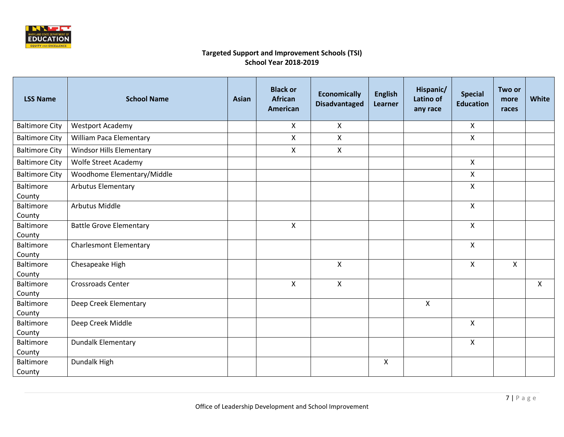

| <b>LSS Name</b>               | <b>School Name</b>              | <b>Asian</b> | <b>Black or</b><br><b>African</b><br>American | <b>Economically</b><br><b>Disadvantaged</b> | <b>English</b><br>Learner | Hispanic/<br>Latino of<br>any race | <b>Special</b><br><b>Education</b> | Two or<br>more<br>races | White |
|-------------------------------|---------------------------------|--------------|-----------------------------------------------|---------------------------------------------|---------------------------|------------------------------------|------------------------------------|-------------------------|-------|
| <b>Baltimore City</b>         | <b>Westport Academy</b>         |              | X                                             | $\mathsf{X}$                                |                           |                                    | $\mathsf{X}$                       |                         |       |
| <b>Baltimore City</b>         | <b>William Paca Elementary</b>  |              | $\mathsf{X}$                                  | X                                           |                           |                                    | $\mathsf{X}$                       |                         |       |
| <b>Baltimore City</b>         | <b>Windsor Hills Elementary</b> |              | Χ                                             | X                                           |                           |                                    |                                    |                         |       |
| <b>Baltimore City</b>         | <b>Wolfe Street Academy</b>     |              |                                               |                                             |                           |                                    | $\mathsf{X}$                       |                         |       |
| <b>Baltimore City</b>         | Woodhome Elementary/Middle      |              |                                               |                                             |                           |                                    | $\mathsf{X}$                       |                         |       |
| Baltimore<br>County           | <b>Arbutus Elementary</b>       |              |                                               |                                             |                           |                                    | $\mathsf{X}$                       |                         |       |
| Baltimore                     | <b>Arbutus Middle</b>           |              |                                               |                                             |                           |                                    | $\mathsf{X}$                       |                         |       |
| County<br>Baltimore<br>County | <b>Battle Grove Elementary</b>  |              | $\mathsf{X}$                                  |                                             |                           |                                    | $\mathsf{X}$                       |                         |       |
| Baltimore<br>County           | <b>Charlesmont Elementary</b>   |              |                                               |                                             |                           |                                    | $\mathsf{X}$                       |                         |       |
| Baltimore<br>County           | Chesapeake High                 |              |                                               | X                                           |                           |                                    | $\mathsf{X}$                       | X                       |       |
| Baltimore<br>County           | <b>Crossroads Center</b>        |              | $\mathsf{X}$                                  | X                                           |                           |                                    |                                    |                         | X     |
| Baltimore<br>County           | Deep Creek Elementary           |              |                                               |                                             |                           | $\pmb{\times}$                     |                                    |                         |       |
| Baltimore<br>County           | Deep Creek Middle               |              |                                               |                                             |                           |                                    | $\mathsf{X}$                       |                         |       |
| Baltimore<br>County           | <b>Dundalk Elementary</b>       |              |                                               |                                             |                           |                                    | $\mathsf{X}$                       |                         |       |
| Baltimore<br>County           | Dundalk High                    |              |                                               |                                             | $\mathsf{X}$              |                                    |                                    |                         |       |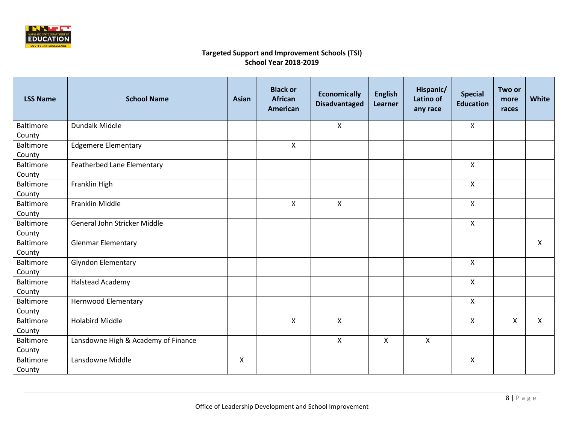

| <b>LSS Name</b>     | <b>School Name</b>                  | <b>Asian</b> | <b>Black or</b><br><b>African</b><br><b>American</b> | <b>Economically</b><br><b>Disadvantaged</b> | <b>English</b><br>Learner | Hispanic/<br>Latino of<br>any race | <b>Special</b><br><b>Education</b> | Two or<br>more<br>races | White        |
|---------------------|-------------------------------------|--------------|------------------------------------------------------|---------------------------------------------|---------------------------|------------------------------------|------------------------------------|-------------------------|--------------|
| <b>Baltimore</b>    | Dundalk Middle                      |              |                                                      | $\pmb{\times}$                              |                           |                                    | X                                  |                         |              |
| County              |                                     |              |                                                      |                                             |                           |                                    |                                    |                         |              |
| Baltimore           | <b>Edgemere Elementary</b>          |              | X                                                    |                                             |                           |                                    |                                    |                         |              |
| County<br>Baltimore |                                     |              |                                                      |                                             |                           |                                    | $\mathsf{X}$                       |                         |              |
|                     | Featherbed Lane Elementary          |              |                                                      |                                             |                           |                                    |                                    |                         |              |
| County<br>Baltimore | Franklin High                       |              |                                                      |                                             |                           |                                    | $\mathsf{X}$                       |                         |              |
| County              |                                     |              |                                                      |                                             |                           |                                    |                                    |                         |              |
| Baltimore           | Franklin Middle                     |              | $\mathsf{X}$                                         | $\mathsf{X}$                                |                           |                                    | $\pmb{\times}$                     |                         |              |
| County              |                                     |              |                                                      |                                             |                           |                                    |                                    |                         |              |
| Baltimore           | General John Stricker Middle        |              |                                                      |                                             |                           |                                    | X                                  |                         |              |
| County              |                                     |              |                                                      |                                             |                           |                                    |                                    |                         |              |
| <b>Baltimore</b>    | <b>Glenmar Elementary</b>           |              |                                                      |                                             |                           |                                    |                                    |                         | X            |
| County              |                                     |              |                                                      |                                             |                           |                                    |                                    |                         |              |
| Baltimore           | <b>Glyndon Elementary</b>           |              |                                                      |                                             |                           |                                    | $\pmb{\times}$                     |                         |              |
| County              |                                     |              |                                                      |                                             |                           |                                    |                                    |                         |              |
| Baltimore           | <b>Halstead Academy</b>             |              |                                                      |                                             |                           |                                    | $\pmb{\times}$                     |                         |              |
| County              |                                     |              |                                                      |                                             |                           |                                    |                                    |                         |              |
| Baltimore           | Hernwood Elementary                 |              |                                                      |                                             |                           |                                    | $\boldsymbol{\mathsf{X}}$          |                         |              |
| County              |                                     |              |                                                      |                                             |                           |                                    |                                    |                         |              |
| Baltimore           | <b>Holabird Middle</b>              |              | $\mathsf{X}$                                         | $\mathsf{x}$                                |                           |                                    | $\mathsf{X}$                       | X                       | $\mathsf{X}$ |
| County              |                                     |              |                                                      |                                             |                           |                                    |                                    |                         |              |
| Baltimore           | Lansdowne High & Academy of Finance |              |                                                      | $\mathsf{x}$                                | $\boldsymbol{\mathsf{X}}$ | $\mathsf{x}$                       |                                    |                         |              |
| County              |                                     |              |                                                      |                                             |                           |                                    |                                    |                         |              |
| Baltimore           | Lansdowne Middle                    | X            |                                                      |                                             |                           |                                    | $\mathsf{X}$                       |                         |              |
| County              |                                     |              |                                                      |                                             |                           |                                    |                                    |                         |              |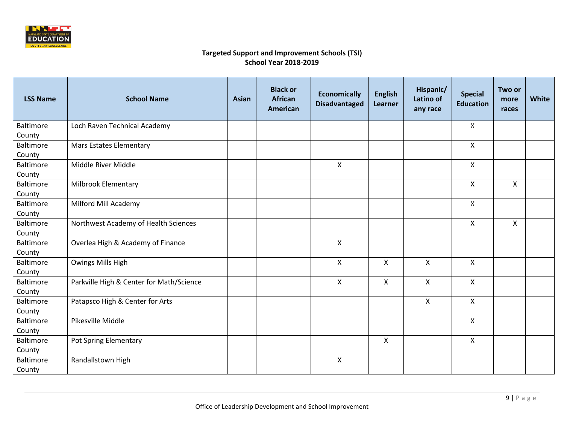

| <b>LSS Name</b>  | <b>School Name</b>                       | <b>Asian</b> | <b>Black or</b><br><b>African</b><br><b>American</b> | <b>Economically</b><br><b>Disadvantaged</b> | <b>English</b><br>Learner | Hispanic/<br>Latino of<br>any race | <b>Special</b><br><b>Education</b> | Two or<br>more<br>races | White |
|------------------|------------------------------------------|--------------|------------------------------------------------------|---------------------------------------------|---------------------------|------------------------------------|------------------------------------|-------------------------|-------|
| Baltimore        | Loch Raven Technical Academy             |              |                                                      |                                             |                           |                                    | X                                  |                         |       |
| County           |                                          |              |                                                      |                                             |                           |                                    |                                    |                         |       |
| Baltimore        | <b>Mars Estates Elementary</b>           |              |                                                      |                                             |                           |                                    | $\pmb{\times}$                     |                         |       |
| County           |                                          |              |                                                      |                                             |                           |                                    |                                    |                         |       |
| Baltimore        | Middle River Middle                      |              |                                                      | $\mathsf{x}$                                |                           |                                    | $\mathsf{X}$                       |                         |       |
| County           |                                          |              |                                                      |                                             |                           |                                    |                                    |                         |       |
| Baltimore        | Milbrook Elementary                      |              |                                                      |                                             |                           |                                    | $\mathsf{X}$                       | X                       |       |
| County           |                                          |              |                                                      |                                             |                           |                                    |                                    |                         |       |
| Baltimore        | Milford Mill Academy                     |              |                                                      |                                             |                           |                                    | $\mathsf{X}$                       |                         |       |
| County           |                                          |              |                                                      |                                             |                           |                                    |                                    |                         |       |
| Baltimore        | Northwest Academy of Health Sciences     |              |                                                      |                                             |                           |                                    | $\mathsf{X}$                       | X                       |       |
| County           |                                          |              |                                                      |                                             |                           |                                    |                                    |                         |       |
| Baltimore        | Overlea High & Academy of Finance        |              |                                                      | $\mathsf{x}$                                |                           |                                    |                                    |                         |       |
| County           |                                          |              |                                                      |                                             |                           |                                    |                                    |                         |       |
| Baltimore        | Owings Mills High                        |              |                                                      | $\mathsf{x}$                                | X                         | $\mathsf{X}$                       | $\boldsymbol{\mathsf{X}}$          |                         |       |
| County           |                                          |              |                                                      |                                             |                           |                                    |                                    |                         |       |
| Baltimore        | Parkville High & Center for Math/Science |              |                                                      | X                                           | $\mathsf{X}$              | X                                  | $\pmb{\times}$                     |                         |       |
| County           |                                          |              |                                                      |                                             |                           |                                    |                                    |                         |       |
| Baltimore        | Patapsco High & Center for Arts          |              |                                                      |                                             |                           | X                                  | $\mathsf{X}$                       |                         |       |
| County           |                                          |              |                                                      |                                             |                           |                                    |                                    |                         |       |
| Baltimore        | Pikesville Middle                        |              |                                                      |                                             |                           |                                    | $\mathsf{X}$                       |                         |       |
| County           |                                          |              |                                                      |                                             |                           |                                    |                                    |                         |       |
| Baltimore        | Pot Spring Elementary                    |              |                                                      |                                             | $\mathsf{X}$              |                                    | $\pmb{\mathsf{X}}$                 |                         |       |
| County           |                                          |              |                                                      |                                             |                           |                                    |                                    |                         |       |
| <b>Baltimore</b> | Randallstown High                        |              |                                                      | $\mathsf{x}$                                |                           |                                    |                                    |                         |       |
| County           |                                          |              |                                                      |                                             |                           |                                    |                                    |                         |       |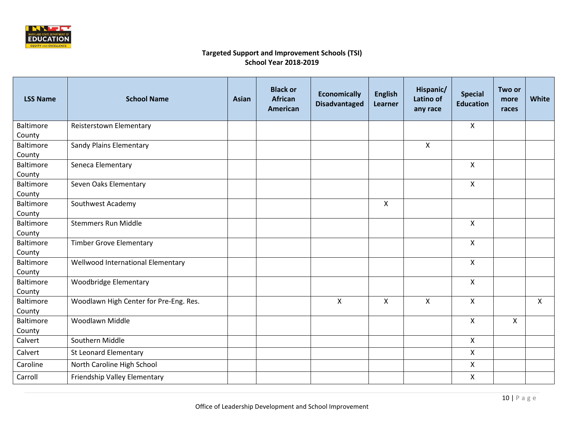

| <b>LSS Name</b>     | <b>School Name</b>                     | <b>Asian</b> | <b>Black or</b><br><b>African</b><br><b>American</b> | <b>Economically</b><br><b>Disadvantaged</b> | <b>English</b><br>Learner | Hispanic/<br>Latino of<br>any race | <b>Special</b><br><b>Education</b> | Two or<br>more<br>races | White        |
|---------------------|----------------------------------------|--------------|------------------------------------------------------|---------------------------------------------|---------------------------|------------------------------------|------------------------------------|-------------------------|--------------|
| Baltimore           | Reisterstown Elementary                |              |                                                      |                                             |                           |                                    | $\mathsf{X}$                       |                         |              |
| County              |                                        |              |                                                      |                                             |                           |                                    |                                    |                         |              |
| Baltimore           | Sandy Plains Elementary                |              |                                                      |                                             |                           | X                                  |                                    |                         |              |
| County              |                                        |              |                                                      |                                             |                           |                                    |                                    |                         |              |
| Baltimore           | Seneca Elementary                      |              |                                                      |                                             |                           |                                    | $\mathsf{x}$                       |                         |              |
| County              |                                        |              |                                                      |                                             |                           |                                    |                                    |                         |              |
| Baltimore           | Seven Oaks Elementary                  |              |                                                      |                                             |                           |                                    | $\mathsf{X}$                       |                         |              |
| County              |                                        |              |                                                      |                                             |                           |                                    |                                    |                         |              |
| Baltimore           | Southwest Academy                      |              |                                                      |                                             | $\mathsf{X}$              |                                    |                                    |                         |              |
| County              |                                        |              |                                                      |                                             |                           |                                    |                                    |                         |              |
| <b>Baltimore</b>    | <b>Stemmers Run Middle</b>             |              |                                                      |                                             |                           |                                    | $\mathsf{X}$                       |                         |              |
| County              |                                        |              |                                                      |                                             |                           |                                    |                                    |                         |              |
| Baltimore           | <b>Timber Grove Elementary</b>         |              |                                                      |                                             |                           |                                    | $\mathsf{X}$                       |                         |              |
| County              |                                        |              |                                                      |                                             |                           |                                    |                                    |                         |              |
| Baltimore           | Wellwood International Elementary      |              |                                                      |                                             |                           |                                    | $\mathsf{X}$                       |                         |              |
| County              |                                        |              |                                                      |                                             |                           |                                    |                                    |                         |              |
| <b>Baltimore</b>    | Woodbridge Elementary                  |              |                                                      |                                             |                           |                                    | $\mathsf{X}$                       |                         |              |
| County<br>Baltimore | Woodlawn High Center for Pre-Eng. Res. |              |                                                      | $\mathsf{x}$                                | $\mathsf{X}$              | X                                  | $\mathsf{X}$                       |                         | $\mathsf{X}$ |
| County              |                                        |              |                                                      |                                             |                           |                                    |                                    |                         |              |
| Baltimore           | Woodlawn Middle                        |              |                                                      |                                             |                           |                                    | $\mathsf{X}$                       | X                       |              |
| County              |                                        |              |                                                      |                                             |                           |                                    |                                    |                         |              |
| Calvert             | Southern Middle                        |              |                                                      |                                             |                           |                                    | $\mathsf{X}$                       |                         |              |
| Calvert             | St Leonard Elementary                  |              |                                                      |                                             |                           |                                    | $\mathsf{X}$                       |                         |              |
| Caroline            | North Caroline High School             |              |                                                      |                                             |                           |                                    | $\mathsf{X}$                       |                         |              |
| Carroll             | Friendship Valley Elementary           |              |                                                      |                                             |                           |                                    | $\boldsymbol{\mathsf{X}}$          |                         |              |
|                     |                                        |              |                                                      |                                             |                           |                                    |                                    |                         |              |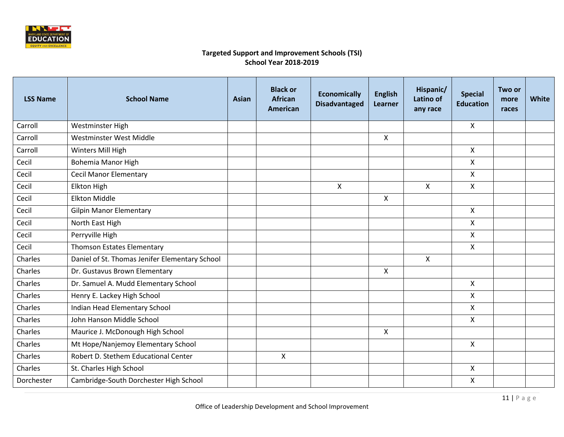

| <b>LSS Name</b> | <b>School Name</b>                             | Asian | <b>Black or</b><br><b>African</b><br>American | <b>Economically</b><br><b>Disadvantaged</b> | <b>English</b><br>Learner | Hispanic/<br>Latino of<br>any race | <b>Special</b><br><b>Education</b> | Two or<br>more<br>races | White |
|-----------------|------------------------------------------------|-------|-----------------------------------------------|---------------------------------------------|---------------------------|------------------------------------|------------------------------------|-------------------------|-------|
| Carroll         | Westminster High                               |       |                                               |                                             |                           |                                    | $\mathsf{X}$                       |                         |       |
| Carroll         | Westminster West Middle                        |       |                                               |                                             | $\mathsf{X}$              |                                    |                                    |                         |       |
| Carroll         | Winters Mill High                              |       |                                               |                                             |                           |                                    | $\mathsf{X}$                       |                         |       |
| Cecil           | Bohemia Manor High                             |       |                                               |                                             |                           |                                    | $\mathsf{X}$                       |                         |       |
| Cecil           | <b>Cecil Manor Elementary</b>                  |       |                                               |                                             |                           |                                    | $\mathsf{X}$                       |                         |       |
| Cecil           | Elkton High                                    |       |                                               | $\mathsf{X}$                                |                           | $\mathsf{X}$                       | $\mathsf{X}$                       |                         |       |
| Cecil           | <b>Elkton Middle</b>                           |       |                                               |                                             | $\mathsf{X}$              |                                    |                                    |                         |       |
| Cecil           | <b>Gilpin Manor Elementary</b>                 |       |                                               |                                             |                           |                                    | $\mathsf{X}$                       |                         |       |
| Cecil           | North East High                                |       |                                               |                                             |                           |                                    | $\mathsf{X}$                       |                         |       |
| Cecil           | Perryville High                                |       |                                               |                                             |                           |                                    | $\mathsf{X}$                       |                         |       |
| Cecil           | <b>Thomson Estates Elementary</b>              |       |                                               |                                             |                           |                                    | $\mathsf{X}$                       |                         |       |
| Charles         | Daniel of St. Thomas Jenifer Elementary School |       |                                               |                                             |                           | $\mathsf{X}$                       |                                    |                         |       |
| Charles         | Dr. Gustavus Brown Elementary                  |       |                                               |                                             | $\mathsf{X}$              |                                    |                                    |                         |       |
| Charles         | Dr. Samuel A. Mudd Elementary School           |       |                                               |                                             |                           |                                    | $\mathsf{X}$                       |                         |       |
| Charles         | Henry E. Lackey High School                    |       |                                               |                                             |                           |                                    | X                                  |                         |       |
| Charles         | Indian Head Elementary School                  |       |                                               |                                             |                           |                                    | $\mathsf{X}$                       |                         |       |
| Charles         | John Hanson Middle School                      |       |                                               |                                             |                           |                                    | $\mathsf{X}$                       |                         |       |
| Charles         | Maurice J. McDonough High School               |       |                                               |                                             | $\pmb{\times}$            |                                    |                                    |                         |       |
| Charles         | Mt Hope/Nanjemoy Elementary School             |       |                                               |                                             |                           |                                    | $\mathsf{X}$                       |                         |       |
| Charles         | Robert D. Stethem Educational Center           |       | X                                             |                                             |                           |                                    |                                    |                         |       |
| Charles         | St. Charles High School                        |       |                                               |                                             |                           |                                    | $\mathsf{X}$                       |                         |       |
| Dorchester      | Cambridge-South Dorchester High School         |       |                                               |                                             |                           |                                    | $\mathsf{X}$                       |                         |       |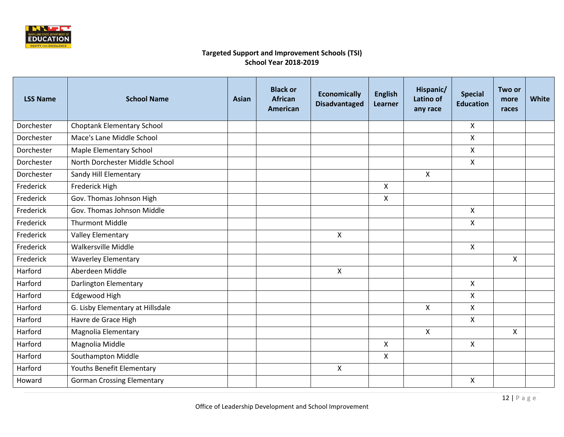

| <b>LSS Name</b> | <b>School Name</b>                | Asian | <b>Black or</b><br><b>African</b><br><b>American</b> | <b>Economically</b><br><b>Disadvantaged</b> | <b>English</b><br>Learner | Hispanic/<br>Latino of<br>any race | <b>Special</b><br><b>Education</b> | Two or<br>more<br>races | <b>White</b> |
|-----------------|-----------------------------------|-------|------------------------------------------------------|---------------------------------------------|---------------------------|------------------------------------|------------------------------------|-------------------------|--------------|
| Dorchester      | <b>Choptank Elementary School</b> |       |                                                      |                                             |                           |                                    | $\mathsf{X}$                       |                         |              |
| Dorchester      | Mace's Lane Middle School         |       |                                                      |                                             |                           |                                    | $\mathsf{X}$                       |                         |              |
| Dorchester      | Maple Elementary School           |       |                                                      |                                             |                           |                                    | $\mathsf{X}$                       |                         |              |
| Dorchester      | North Dorchester Middle School    |       |                                                      |                                             |                           |                                    | $\mathsf{X}$                       |                         |              |
| Dorchester      | Sandy Hill Elementary             |       |                                                      |                                             |                           | $\mathsf{X}$                       |                                    |                         |              |
| Frederick       | Frederick High                    |       |                                                      |                                             | $\mathsf{X}$              |                                    |                                    |                         |              |
| Frederick       | Gov. Thomas Johnson High          |       |                                                      |                                             | $\pmb{\times}$            |                                    |                                    |                         |              |
| Frederick       | Gov. Thomas Johnson Middle        |       |                                                      |                                             |                           |                                    | $\mathsf{X}$                       |                         |              |
| Frederick       | <b>Thurmont Middle</b>            |       |                                                      |                                             |                           |                                    | $\mathsf{X}$                       |                         |              |
| Frederick       | <b>Valley Elementary</b>          |       |                                                      | X                                           |                           |                                    |                                    |                         |              |
| Frederick       | Walkersville Middle               |       |                                                      |                                             |                           |                                    | $\mathsf{X}$                       |                         |              |
| Frederick       | <b>Waverley Elementary</b>        |       |                                                      |                                             |                           |                                    |                                    | X                       |              |
| Harford         | Aberdeen Middle                   |       |                                                      | $\mathsf{X}$                                |                           |                                    |                                    |                         |              |
| Harford         | Darlington Elementary             |       |                                                      |                                             |                           |                                    | $\mathsf{X}$                       |                         |              |
| Harford         | Edgewood High                     |       |                                                      |                                             |                           |                                    | X                                  |                         |              |
| Harford         | G. Lisby Elementary at Hillsdale  |       |                                                      |                                             |                           | $\mathsf X$                        | $\mathsf{X}$                       |                         |              |
| Harford         | Havre de Grace High               |       |                                                      |                                             |                           |                                    | X                                  |                         |              |
| Harford         | <b>Magnolia Elementary</b>        |       |                                                      |                                             |                           | $\mathsf{X}$                       |                                    | X                       |              |
| Harford         | Magnolia Middle                   |       |                                                      |                                             | $\mathsf{x}$              |                                    | $\mathsf{X}$                       |                         |              |
| Harford         | Southampton Middle                |       |                                                      |                                             | $\pmb{\times}$            |                                    |                                    |                         |              |
| Harford         | Youths Benefit Elementary         |       |                                                      | $\mathsf{X}$                                |                           |                                    |                                    |                         |              |
| Howard          | <b>Gorman Crossing Elementary</b> |       |                                                      |                                             |                           |                                    | $\mathsf{X}$                       |                         |              |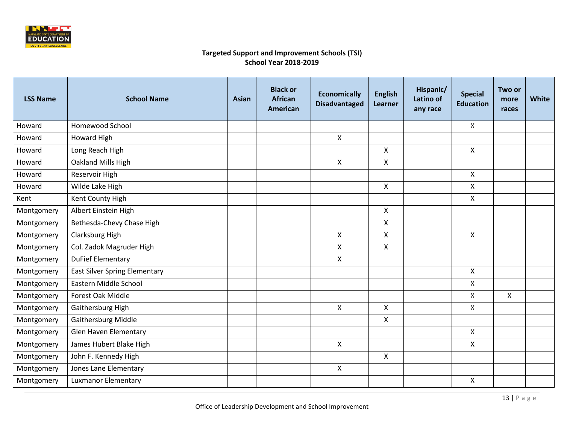

| <b>LSS Name</b> | <b>School Name</b>                   | Asian | <b>Black or</b><br><b>African</b><br><b>American</b> | <b>Economically</b><br><b>Disadvantaged</b> | <b>English</b><br>Learner | Hispanic/<br>Latino of<br>any race | <b>Special</b><br><b>Education</b> | Two or<br>more<br>races | <b>White</b> |
|-----------------|--------------------------------------|-------|------------------------------------------------------|---------------------------------------------|---------------------------|------------------------------------|------------------------------------|-------------------------|--------------|
| Howard          | Homewood School                      |       |                                                      |                                             |                           |                                    | $\mathsf{X}$                       |                         |              |
| Howard          | Howard High                          |       |                                                      | $\mathsf{X}$                                |                           |                                    |                                    |                         |              |
| Howard          | Long Reach High                      |       |                                                      |                                             | X                         |                                    | $\mathsf{X}$                       |                         |              |
| Howard          | Oakland Mills High                   |       |                                                      | $\mathsf{X}$                                | $\mathsf{X}$              |                                    |                                    |                         |              |
| Howard          | Reservoir High                       |       |                                                      |                                             |                           |                                    | $\mathsf{X}$                       |                         |              |
| Howard          | Wilde Lake High                      |       |                                                      |                                             | $\mathsf{X}$              |                                    | $\mathsf{X}$                       |                         |              |
| Kent            | Kent County High                     |       |                                                      |                                             |                           |                                    | $\mathsf{X}$                       |                         |              |
| Montgomery      | Albert Einstein High                 |       |                                                      |                                             | X                         |                                    |                                    |                         |              |
| Montgomery      | Bethesda-Chevy Chase High            |       |                                                      |                                             | X                         |                                    |                                    |                         |              |
| Montgomery      | Clarksburg High                      |       |                                                      | $\mathsf{X}$                                | $\mathsf{x}$              |                                    | $\mathsf{X}$                       |                         |              |
| Montgomery      | Col. Zadok Magruder High             |       |                                                      | $\mathsf{X}$                                | $\mathsf{x}$              |                                    |                                    |                         |              |
| Montgomery      | <b>DuFief Elementary</b>             |       |                                                      | $\mathsf{X}$                                |                           |                                    |                                    |                         |              |
| Montgomery      | <b>East Silver Spring Elementary</b> |       |                                                      |                                             |                           |                                    | $\mathsf{X}$                       |                         |              |
| Montgomery      | Eastern Middle School                |       |                                                      |                                             |                           |                                    | $\mathsf{X}$                       |                         |              |
| Montgomery      | Forest Oak Middle                    |       |                                                      |                                             |                           |                                    | $\pmb{\times}$                     | $\mathsf{X}$            |              |
| Montgomery      | Gaithersburg High                    |       |                                                      | $\mathsf{X}$                                | $\pmb{\times}$            |                                    | $\mathsf{X}$                       |                         |              |
| Montgomery      | Gaithersburg Middle                  |       |                                                      |                                             | $\pmb{\times}$            |                                    |                                    |                         |              |
| Montgomery      | <b>Glen Haven Elementary</b>         |       |                                                      |                                             |                           |                                    | $\mathsf{X}$                       |                         |              |
| Montgomery      | James Hubert Blake High              |       |                                                      | $\mathsf{X}$                                |                           |                                    | $\mathsf{X}$                       |                         |              |
| Montgomery      | John F. Kennedy High                 |       |                                                      |                                             | $\boldsymbol{\mathsf{X}}$ |                                    |                                    |                         |              |
| Montgomery      | Jones Lane Elementary                |       |                                                      | $\mathsf{X}$                                |                           |                                    |                                    |                         |              |
| Montgomery      | <b>Luxmanor Elementary</b>           |       |                                                      |                                             |                           |                                    | $\mathsf{X}$                       |                         |              |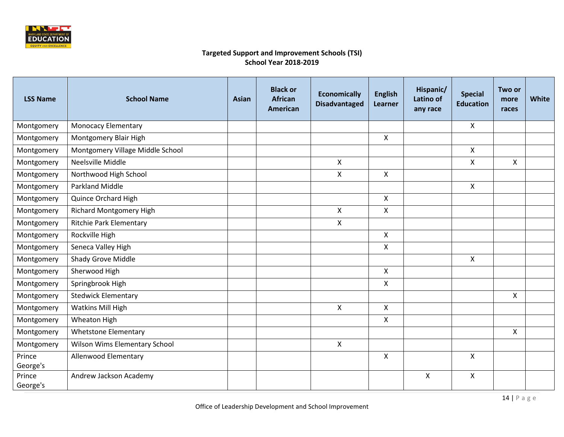

| <b>School Name</b>               | Asian                  | <b>Black or</b><br><b>African</b><br><b>American</b> | <b>Economically</b><br><b>Disadvantaged</b> | <b>English</b><br>Learner | Hispanic/<br>Latino of<br>any race | <b>Special</b><br><b>Education</b> | Two or<br>more<br>races | White |
|----------------------------------|------------------------|------------------------------------------------------|---------------------------------------------|---------------------------|------------------------------------|------------------------------------|-------------------------|-------|
| <b>Monocacy Elementary</b>       |                        |                                                      |                                             |                           |                                    | $\mathsf{X}$                       |                         |       |
| Montgomery Blair High            |                        |                                                      |                                             | X                         |                                    |                                    |                         |       |
| Montgomery Village Middle School |                        |                                                      |                                             |                           |                                    | $\mathsf{X}$                       |                         |       |
| Neelsville Middle                |                        |                                                      | $\mathsf{X}$                                |                           |                                    | $\mathsf{X}$                       | $\mathsf{X}$            |       |
| Northwood High School            |                        |                                                      | X                                           | $\mathsf{X}$              |                                    |                                    |                         |       |
| Parkland Middle                  |                        |                                                      |                                             |                           |                                    | $\mathsf{X}$                       |                         |       |
| Quince Orchard High              |                        |                                                      |                                             | $\mathsf{X}$              |                                    |                                    |                         |       |
| <b>Richard Montgomery High</b>   |                        |                                                      | $\mathsf{X}$                                | $\mathsf{X}$              |                                    |                                    |                         |       |
| <b>Ritchie Park Elementary</b>   |                        |                                                      | $\mathsf{X}$                                |                           |                                    |                                    |                         |       |
| Rockville High                   |                        |                                                      |                                             | X                         |                                    |                                    |                         |       |
| Seneca Valley High               |                        |                                                      |                                             | X                         |                                    |                                    |                         |       |
| Shady Grove Middle               |                        |                                                      |                                             |                           |                                    | $\pmb{\mathsf{X}}$                 |                         |       |
| Sherwood High                    |                        |                                                      |                                             | $\mathsf{x}$              |                                    |                                    |                         |       |
| Springbrook High                 |                        |                                                      |                                             | X                         |                                    |                                    |                         |       |
| <b>Stedwick Elementary</b>       |                        |                                                      |                                             |                           |                                    |                                    | X                       |       |
| Watkins Mill High                |                        |                                                      | $\mathsf{X}$                                | $\mathsf{X}$              |                                    |                                    |                         |       |
| Wheaton High                     |                        |                                                      |                                             | $\mathsf{X}$              |                                    |                                    |                         |       |
| <b>Whetstone Elementary</b>      |                        |                                                      |                                             |                           |                                    |                                    | $\mathsf{X}$            |       |
| Wilson Wims Elementary School    |                        |                                                      | X                                           |                           |                                    |                                    |                         |       |
| Allenwood Elementary             |                        |                                                      |                                             | $\boldsymbol{\mathsf{X}}$ |                                    | $\mathsf{X}$                       |                         |       |
|                                  |                        |                                                      |                                             |                           |                                    |                                    |                         |       |
|                                  |                        |                                                      |                                             |                           |                                    |                                    |                         |       |
|                                  | Andrew Jackson Academy |                                                      |                                             |                           |                                    | $\pmb{\times}$                     | $\pmb{\mathsf{X}}$      |       |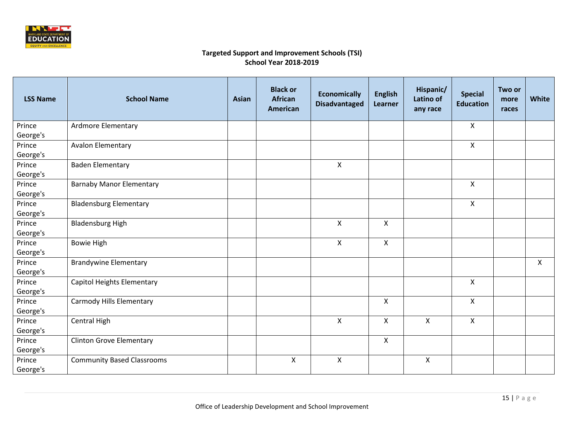

| <b>LSS Name</b> | <b>School Name</b>                | Asian | <b>Black or</b><br><b>African</b><br><b>American</b> | <b>Economically</b><br><b>Disadvantaged</b> | <b>English</b><br>Learner | Hispanic/<br>Latino of<br>any race | <b>Special</b><br><b>Education</b> | Two or<br>more<br>races | <b>White</b> |
|-----------------|-----------------------------------|-------|------------------------------------------------------|---------------------------------------------|---------------------------|------------------------------------|------------------------------------|-------------------------|--------------|
| Prince          | Ardmore Elementary                |       |                                                      |                                             |                           |                                    | X                                  |                         |              |
| George's        |                                   |       |                                                      |                                             |                           |                                    |                                    |                         |              |
| Prince          | <b>Avalon Elementary</b>          |       |                                                      |                                             |                           |                                    | $\mathsf{X}$                       |                         |              |
| George's        |                                   |       |                                                      |                                             |                           |                                    |                                    |                         |              |
| Prince          | <b>Baden Elementary</b>           |       |                                                      | $\mathsf{x}$                                |                           |                                    |                                    |                         |              |
| George's        |                                   |       |                                                      |                                             |                           |                                    |                                    |                         |              |
| Prince          | <b>Barnaby Manor Elementary</b>   |       |                                                      |                                             |                           |                                    | $\mathsf{x}$                       |                         |              |
| George's        |                                   |       |                                                      |                                             |                           |                                    |                                    |                         |              |
| Prince          | <b>Bladensburg Elementary</b>     |       |                                                      |                                             |                           |                                    | $\mathsf{X}$                       |                         |              |
| George's        |                                   |       |                                                      |                                             |                           |                                    |                                    |                         |              |
| Prince          | <b>Bladensburg High</b>           |       |                                                      | X                                           | $\pmb{\times}$            |                                    |                                    |                         |              |
| George's        |                                   |       |                                                      |                                             |                           |                                    |                                    |                         |              |
| Prince          | <b>Bowie High</b>                 |       |                                                      | $\mathsf{X}$                                | X                         |                                    |                                    |                         |              |
| George's        |                                   |       |                                                      |                                             |                           |                                    |                                    |                         |              |
| Prince          | <b>Brandywine Elementary</b>      |       |                                                      |                                             |                           |                                    |                                    |                         | X            |
| George's        |                                   |       |                                                      |                                             |                           |                                    |                                    |                         |              |
| Prince          | Capitol Heights Elementary        |       |                                                      |                                             |                           |                                    | X                                  |                         |              |
| George's        |                                   |       |                                                      |                                             |                           |                                    |                                    |                         |              |
| Prince          | Carmody Hills Elementary          |       |                                                      |                                             | $\pmb{\mathsf{X}}$        |                                    | $\pmb{\times}$                     |                         |              |
| George's        |                                   |       |                                                      |                                             |                           |                                    |                                    |                         |              |
| Prince          | Central High                      |       |                                                      | $\mathsf{X}$                                | $\boldsymbol{\mathsf{X}}$ | $\overline{\mathsf{X}}$            | $\mathsf{X}$                       |                         |              |
| George's        |                                   |       |                                                      |                                             |                           |                                    |                                    |                         |              |
| Prince          | <b>Clinton Grove Elementary</b>   |       |                                                      |                                             | $\pmb{\mathsf{X}}$        |                                    |                                    |                         |              |
| George's        |                                   |       |                                                      |                                             |                           |                                    |                                    |                         |              |
| Prince          | <b>Community Based Classrooms</b> |       | $\pmb{\times}$                                       | $\mathsf{x}$                                |                           | X                                  |                                    |                         |              |
| George's        |                                   |       |                                                      |                                             |                           |                                    |                                    |                         |              |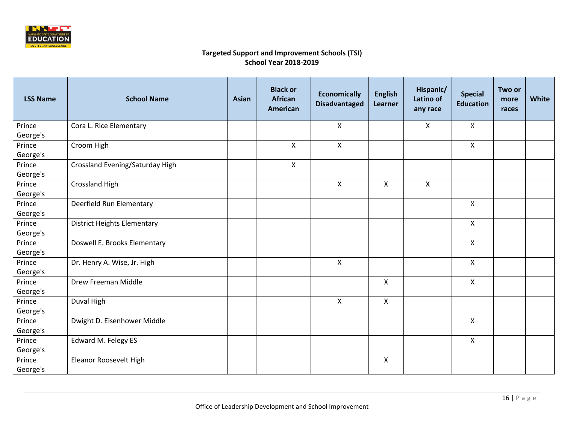

| <b>LSS Name</b> | <b>School Name</b>                 | <b>Asian</b> | <b>Black or</b><br><b>African</b><br><b>American</b> | <b>Economically</b><br><b>Disadvantaged</b> | <b>English</b><br>Learner | Hispanic/<br>Latino of<br>any race | <b>Special</b><br><b>Education</b> | Two or<br>more<br>races | White |
|-----------------|------------------------------------|--------------|------------------------------------------------------|---------------------------------------------|---------------------------|------------------------------------|------------------------------------|-------------------------|-------|
| Prince          | Cora L. Rice Elementary            |              |                                                      | $\pmb{\times}$                              |                           | X                                  | X                                  |                         |       |
| George's        |                                    |              |                                                      |                                             |                           |                                    |                                    |                         |       |
| Prince          | Croom High                         |              | $\boldsymbol{\mathsf{X}}$                            | $\mathsf{x}$                                |                           |                                    | $\mathsf{X}$                       |                         |       |
| George's        |                                    |              |                                                      |                                             |                           |                                    |                                    |                         |       |
| Prince          | Crossland Evening/Saturday High    |              | $\boldsymbol{\mathsf{X}}$                            |                                             |                           |                                    |                                    |                         |       |
| George's        |                                    |              |                                                      |                                             |                           |                                    |                                    |                         |       |
| Prince          | Crossland High                     |              |                                                      | $\boldsymbol{\mathsf{X}}$                   | $\mathsf{X}$              | $\mathsf{X}$                       |                                    |                         |       |
| George's        |                                    |              |                                                      |                                             |                           |                                    |                                    |                         |       |
| Prince          | Deerfield Run Elementary           |              |                                                      |                                             |                           |                                    | $\mathsf{X}$                       |                         |       |
| George's        |                                    |              |                                                      |                                             |                           |                                    |                                    |                         |       |
| Prince          | <b>District Heights Elementary</b> |              |                                                      |                                             |                           |                                    | $\pmb{\times}$                     |                         |       |
| George's        |                                    |              |                                                      |                                             |                           |                                    |                                    |                         |       |
| Prince          | Doswell E. Brooks Elementary       |              |                                                      |                                             |                           |                                    | X                                  |                         |       |
| George's        |                                    |              |                                                      |                                             |                           |                                    |                                    |                         |       |
| Prince          | Dr. Henry A. Wise, Jr. High        |              |                                                      | X                                           |                           |                                    | $\pmb{\times}$                     |                         |       |
| George's        |                                    |              |                                                      |                                             |                           |                                    |                                    |                         |       |
| Prince          | Drew Freeman Middle                |              |                                                      |                                             | $\mathsf{X}$              |                                    | X                                  |                         |       |
| George's        |                                    |              |                                                      |                                             |                           |                                    |                                    |                         |       |
| Prince          | Duval High                         |              |                                                      | $\pmb{\times}$                              | $\mathsf{X}$              |                                    |                                    |                         |       |
| George's        |                                    |              |                                                      |                                             |                           |                                    |                                    |                         |       |
| Prince          | Dwight D. Eisenhower Middle        |              |                                                      |                                             |                           |                                    | $\mathsf{X}$                       |                         |       |
| George's        |                                    |              |                                                      |                                             |                           |                                    |                                    |                         |       |
| Prince          | Edward M. Felegy ES                |              |                                                      |                                             |                           |                                    | $\pmb{\times}$                     |                         |       |
| George's        |                                    |              |                                                      |                                             |                           |                                    |                                    |                         |       |
| Prince          | Eleanor Roosevelt High             |              |                                                      |                                             | $\mathsf{X}$              |                                    |                                    |                         |       |
| George's        |                                    |              |                                                      |                                             |                           |                                    |                                    |                         |       |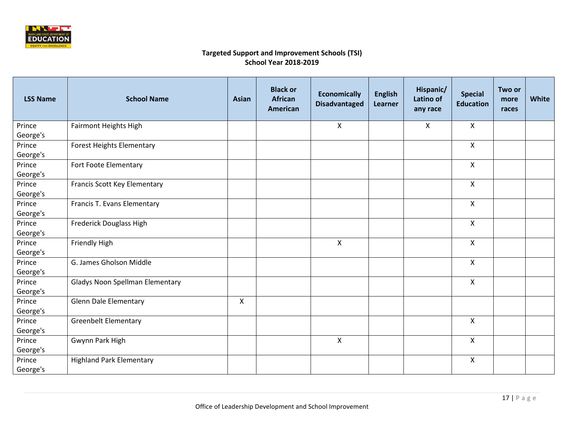

| <b>LSS Name</b> | <b>School Name</b>                     | <b>Asian</b> | <b>Black or</b><br><b>African</b><br><b>American</b> | <b>Economically</b><br><b>Disadvantaged</b> | <b>English</b><br>Learner | Hispanic/<br>Latino of<br>any race | <b>Special</b><br><b>Education</b> | Two or<br>more<br>races | <b>White</b> |
|-----------------|----------------------------------------|--------------|------------------------------------------------------|---------------------------------------------|---------------------------|------------------------------------|------------------------------------|-------------------------|--------------|
| Prince          | Fairmont Heights High                  |              |                                                      | X                                           |                           | $\pmb{\mathsf{X}}$                 | X                                  |                         |              |
| George's        |                                        |              |                                                      |                                             |                           |                                    |                                    |                         |              |
| Prince          | <b>Forest Heights Elementary</b>       |              |                                                      |                                             |                           |                                    | $\mathsf{X}$                       |                         |              |
| George's        |                                        |              |                                                      |                                             |                           |                                    |                                    |                         |              |
| Prince          | Fort Foote Elementary                  |              |                                                      |                                             |                           |                                    | $\mathsf{X}$                       |                         |              |
| George's        |                                        |              |                                                      |                                             |                           |                                    |                                    |                         |              |
| Prince          | Francis Scott Key Elementary           |              |                                                      |                                             |                           |                                    | $\mathsf{X}$                       |                         |              |
| George's        |                                        |              |                                                      |                                             |                           |                                    |                                    |                         |              |
| Prince          | Francis T. Evans Elementary            |              |                                                      |                                             |                           |                                    | $\mathsf{X}$                       |                         |              |
| George's        |                                        |              |                                                      |                                             |                           |                                    |                                    |                         |              |
| Prince          | <b>Frederick Douglass High</b>         |              |                                                      |                                             |                           |                                    | $\pmb{\times}$                     |                         |              |
| George's        |                                        |              |                                                      |                                             |                           |                                    |                                    |                         |              |
| Prince          | <b>Friendly High</b>                   |              |                                                      | X                                           |                           |                                    | X                                  |                         |              |
| George's        |                                        |              |                                                      |                                             |                           |                                    |                                    |                         |              |
| Prince          | G. James Gholson Middle                |              |                                                      |                                             |                           |                                    | X                                  |                         |              |
| George's        |                                        |              |                                                      |                                             |                           |                                    |                                    |                         |              |
| Prince          | <b>Gladys Noon Spellman Elementary</b> |              |                                                      |                                             |                           |                                    | X                                  |                         |              |
| George's        |                                        |              |                                                      |                                             |                           |                                    |                                    |                         |              |
| Prince          | <b>Glenn Dale Elementary</b>           | X            |                                                      |                                             |                           |                                    |                                    |                         |              |
| George's        |                                        |              |                                                      |                                             |                           |                                    |                                    |                         |              |
| Prince          | <b>Greenbelt Elementary</b>            |              |                                                      |                                             |                           |                                    | $\pmb{\times}$                     |                         |              |
| George's        |                                        |              |                                                      |                                             |                           |                                    |                                    |                         |              |
| Prince          | Gwynn Park High                        |              |                                                      | X                                           |                           |                                    | X                                  |                         |              |
| George's        |                                        |              |                                                      |                                             |                           |                                    |                                    |                         |              |
| Prince          | <b>Highland Park Elementary</b>        |              |                                                      |                                             |                           |                                    | X                                  |                         |              |
| George's        |                                        |              |                                                      |                                             |                           |                                    |                                    |                         |              |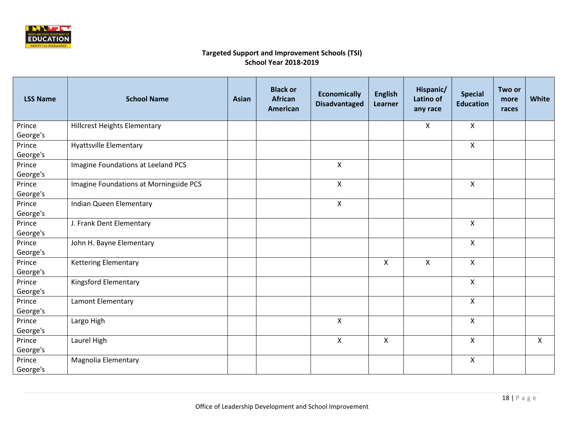

| <b>LSS Name</b> | <b>School Name</b>                     | Asian | <b>Black or</b><br><b>African</b><br><b>American</b> | <b>Economically</b><br><b>Disadvantaged</b> | <b>English</b><br>Learner | Hispanic/<br>Latino of<br>any race | <b>Special</b><br><b>Education</b> | Two or<br>more<br>races | <b>White</b> |
|-----------------|----------------------------------------|-------|------------------------------------------------------|---------------------------------------------|---------------------------|------------------------------------|------------------------------------|-------------------------|--------------|
| Prince          | <b>Hillcrest Heights Elementary</b>    |       |                                                      |                                             |                           | X                                  | X                                  |                         |              |
| George's        |                                        |       |                                                      |                                             |                           |                                    |                                    |                         |              |
| Prince          | <b>Hyattsville Elementary</b>          |       |                                                      |                                             |                           |                                    | $\mathsf{X}$                       |                         |              |
| George's        |                                        |       |                                                      |                                             |                           |                                    |                                    |                         |              |
| Prince          | Imagine Foundations at Leeland PCS     |       |                                                      | X                                           |                           |                                    |                                    |                         |              |
| George's        |                                        |       |                                                      |                                             |                           |                                    |                                    |                         |              |
| Prince          | Imagine Foundations at Morningside PCS |       |                                                      | $\mathsf{x}$                                |                           |                                    | $\mathsf{X}$                       |                         |              |
| George's        |                                        |       |                                                      |                                             |                           |                                    |                                    |                         |              |
| Prince          | Indian Queen Elementary                |       |                                                      | $\mathsf{X}$                                |                           |                                    |                                    |                         |              |
| George's        |                                        |       |                                                      |                                             |                           |                                    |                                    |                         |              |
| Prince          | J. Frank Dent Elementary               |       |                                                      |                                             |                           |                                    | $\mathsf{X}$                       |                         |              |
| George's        |                                        |       |                                                      |                                             |                           |                                    |                                    |                         |              |
| Prince          | John H. Bayne Elementary               |       |                                                      |                                             |                           |                                    | $\mathsf{X}$                       |                         |              |
| George's        |                                        |       |                                                      |                                             |                           |                                    |                                    |                         |              |
| Prince          | <b>Kettering Elementary</b>            |       |                                                      |                                             | X                         | X                                  | X                                  |                         |              |
| George's        |                                        |       |                                                      |                                             |                           |                                    |                                    |                         |              |
| Prince          | <b>Kingsford Elementary</b>            |       |                                                      |                                             |                           |                                    | X                                  |                         |              |
| George's        |                                        |       |                                                      |                                             |                           |                                    |                                    |                         |              |
| Prince          | Lamont Elementary                      |       |                                                      |                                             |                           |                                    | $\pmb{\times}$                     |                         |              |
| George's        |                                        |       |                                                      |                                             |                           |                                    |                                    |                         |              |
| Prince          | Largo High                             |       |                                                      | $\mathsf{x}$                                |                           |                                    | $\mathsf{X}$                       |                         |              |
| George's        |                                        |       |                                                      |                                             |                           |                                    |                                    |                         |              |
| Prince          | Laurel High                            |       |                                                      | $\pmb{\times}$                              | $\pmb{\times}$            |                                    | X                                  |                         | $\mathsf{x}$ |
| George's        |                                        |       |                                                      |                                             |                           |                                    |                                    |                         |              |
| Prince          | Magnolia Elementary                    |       |                                                      |                                             |                           |                                    | X                                  |                         |              |
| George's        |                                        |       |                                                      |                                             |                           |                                    |                                    |                         |              |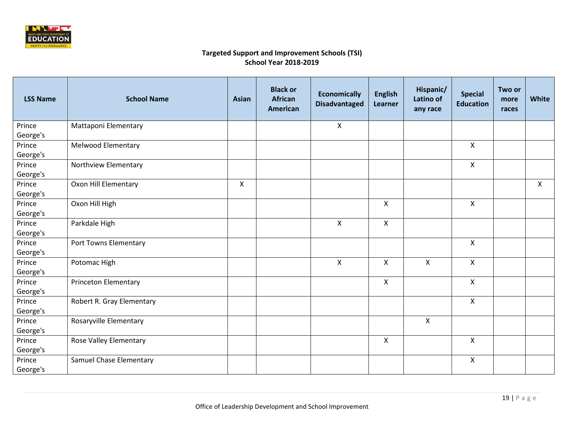

| <b>LSS Name</b> | <b>School Name</b>            | <b>Asian</b>       | <b>Black or</b><br><b>African</b><br><b>American</b> | <b>Economically</b><br><b>Disadvantaged</b> | <b>English</b><br>Learner | Hispanic/<br>Latino of<br>any race | <b>Special</b><br><b>Education</b> | Two or<br>more<br>races | White                     |
|-----------------|-------------------------------|--------------------|------------------------------------------------------|---------------------------------------------|---------------------------|------------------------------------|------------------------------------|-------------------------|---------------------------|
| Prince          | Mattaponi Elementary          |                    |                                                      | $\pmb{\times}$                              |                           |                                    |                                    |                         |                           |
| George's        |                               |                    |                                                      |                                             |                           |                                    |                                    |                         |                           |
| Prince          | Melwood Elementary            |                    |                                                      |                                             |                           |                                    | $\mathsf{X}$                       |                         |                           |
| George's        |                               |                    |                                                      |                                             |                           |                                    |                                    |                         |                           |
| Prince          | Northview Elementary          |                    |                                                      |                                             |                           |                                    | X                                  |                         |                           |
| George's        |                               |                    |                                                      |                                             |                           |                                    |                                    |                         |                           |
| Prince          | Oxon Hill Elementary          | $\pmb{\mathsf{X}}$ |                                                      |                                             |                           |                                    |                                    |                         | $\boldsymbol{\mathsf{X}}$ |
| George's        |                               |                    |                                                      |                                             |                           |                                    |                                    |                         |                           |
| Prince          | Oxon Hill High                |                    |                                                      |                                             | $\mathsf{X}$              |                                    | $\pmb{\times}$                     |                         |                           |
| George's        |                               |                    |                                                      |                                             |                           |                                    |                                    |                         |                           |
| Prince          | Parkdale High                 |                    |                                                      | $\mathsf{x}$                                | $\mathsf{X}$              |                                    |                                    |                         |                           |
| George's        |                               |                    |                                                      |                                             |                           |                                    |                                    |                         |                           |
| Prince          | Port Towns Elementary         |                    |                                                      |                                             |                           |                                    | X                                  |                         |                           |
| George's        |                               |                    |                                                      |                                             |                           |                                    |                                    |                         |                           |
| Prince          | Potomac High                  |                    |                                                      | $\pmb{\mathsf{X}}$                          | $\boldsymbol{\mathsf{X}}$ | $\mathsf{x}$                       | $\pmb{\times}$                     |                         |                           |
| George's        |                               |                    |                                                      |                                             |                           |                                    |                                    |                         |                           |
| Prince          | <b>Princeton Elementary</b>   |                    |                                                      |                                             | X                         |                                    | X                                  |                         |                           |
| George's        |                               |                    |                                                      |                                             |                           |                                    |                                    |                         |                           |
| Prince          | Robert R. Gray Elementary     |                    |                                                      |                                             |                           |                                    | $\pmb{\times}$                     |                         |                           |
| George's        |                               |                    |                                                      |                                             |                           |                                    |                                    |                         |                           |
| Prince          | Rosaryville Elementary        |                    |                                                      |                                             |                           | $\mathsf{X}$                       |                                    |                         |                           |
| George's        |                               |                    |                                                      |                                             |                           |                                    |                                    |                         |                           |
| Prince          | <b>Rose Valley Elementary</b> |                    |                                                      |                                             | $\mathsf{X}$              |                                    | $\pmb{\mathsf{X}}$                 |                         |                           |
| George's        |                               |                    |                                                      |                                             |                           |                                    |                                    |                         |                           |
| Prince          | Samuel Chase Elementary       |                    |                                                      |                                             |                           |                                    | $\mathsf{X}$                       |                         |                           |
| George's        |                               |                    |                                                      |                                             |                           |                                    |                                    |                         |                           |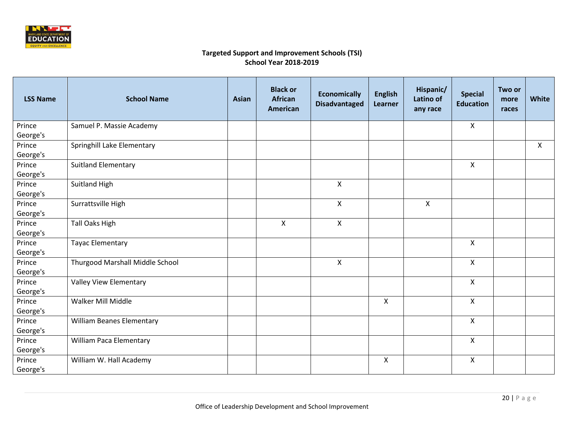

| <b>LSS Name</b> | <b>School Name</b>               | <b>Asian</b> | <b>Black or</b><br><b>African</b><br>American | <b>Economically</b><br><b>Disadvantaged</b> | <b>English</b><br>Learner | Hispanic/<br><b>Latino of</b><br>any race | <b>Special</b><br><b>Education</b> | Two or<br>more<br>races | <b>White</b> |
|-----------------|----------------------------------|--------------|-----------------------------------------------|---------------------------------------------|---------------------------|-------------------------------------------|------------------------------------|-------------------------|--------------|
| Prince          | Samuel P. Massie Academy         |              |                                               |                                             |                           |                                           | X                                  |                         |              |
| George's        |                                  |              |                                               |                                             |                           |                                           |                                    |                         |              |
| Prince          | Springhill Lake Elementary       |              |                                               |                                             |                           |                                           |                                    |                         | $\sf X$      |
| George's        |                                  |              |                                               |                                             |                           |                                           |                                    |                         |              |
| Prince          | <b>Suitland Elementary</b>       |              |                                               |                                             |                           |                                           | X                                  |                         |              |
| George's        |                                  |              |                                               |                                             |                           |                                           |                                    |                         |              |
| Prince          | Suitland High                    |              |                                               | X                                           |                           |                                           |                                    |                         |              |
| George's        |                                  |              |                                               |                                             |                           |                                           |                                    |                         |              |
| Prince          | Surrattsville High               |              |                                               | $\mathsf{X}$                                |                           | $\pmb{\mathsf{X}}$                        |                                    |                         |              |
| George's        |                                  |              |                                               |                                             |                           |                                           |                                    |                         |              |
| Prince          | <b>Tall Oaks High</b>            |              | X                                             | X                                           |                           |                                           |                                    |                         |              |
| George's        |                                  |              |                                               |                                             |                           |                                           |                                    |                         |              |
| Prince          | <b>Tayac Elementary</b>          |              |                                               |                                             |                           |                                           | X                                  |                         |              |
| George's        |                                  |              |                                               |                                             |                           |                                           |                                    |                         |              |
| Prince          | Thurgood Marshall Middle School  |              |                                               | X                                           |                           |                                           | X                                  |                         |              |
| George's        |                                  |              |                                               |                                             |                           |                                           |                                    |                         |              |
| Prince          | Valley View Elementary           |              |                                               |                                             |                           |                                           | $\mathsf{X}$                       |                         |              |
| George's        |                                  |              |                                               |                                             |                           |                                           |                                    |                         |              |
| Prince          | Walker Mill Middle               |              |                                               |                                             | $\pmb{\mathsf{X}}$        |                                           | $\pmb{\times}$                     |                         |              |
| George's        |                                  |              |                                               |                                             |                           |                                           |                                    |                         |              |
| Prince          | <b>William Beanes Elementary</b> |              |                                               |                                             |                           |                                           | $\mathsf{X}$                       |                         |              |
| George's        |                                  |              |                                               |                                             |                           |                                           |                                    |                         |              |
| Prince          | William Paca Elementary          |              |                                               |                                             |                           |                                           | $\pmb{\times}$                     |                         |              |
| George's        |                                  |              |                                               |                                             |                           |                                           |                                    |                         |              |
| Prince          | William W. Hall Academy          |              |                                               |                                             | X                         |                                           | X                                  |                         |              |
| George's        |                                  |              |                                               |                                             |                           |                                           |                                    |                         |              |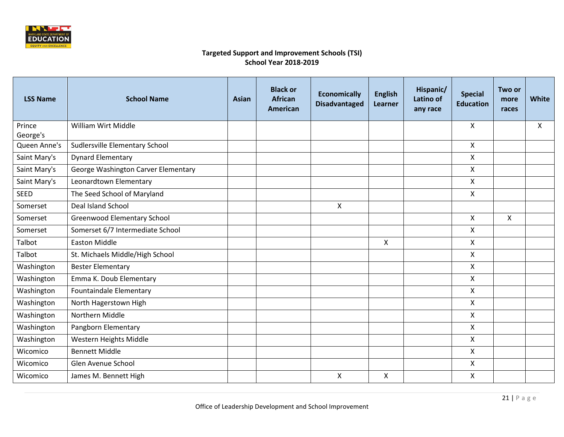

| <b>LSS Name</b> | <b>School Name</b>                  | Asian | <b>Black or</b><br><b>African</b><br><b>American</b> | <b>Economically</b><br><b>Disadvantaged</b> | <b>English</b><br>Learner | Hispanic/<br><b>Latino of</b><br>any race | <b>Special</b><br><b>Education</b> | Two or<br>more<br>races | <b>White</b> |
|-----------------|-------------------------------------|-------|------------------------------------------------------|---------------------------------------------|---------------------------|-------------------------------------------|------------------------------------|-------------------------|--------------|
| Prince          | <b>William Wirt Middle</b>          |       |                                                      |                                             |                           |                                           | X                                  |                         | X            |
| George's        |                                     |       |                                                      |                                             |                           |                                           |                                    |                         |              |
| Queen Anne's    | Sudlersville Elementary School      |       |                                                      |                                             |                           |                                           | X                                  |                         |              |
| Saint Mary's    | <b>Dynard Elementary</b>            |       |                                                      |                                             |                           |                                           | Χ                                  |                         |              |
| Saint Mary's    | George Washington Carver Elementary |       |                                                      |                                             |                           |                                           | X                                  |                         |              |
| Saint Mary's    | Leonardtown Elementary              |       |                                                      |                                             |                           |                                           | X                                  |                         |              |
| <b>SEED</b>     | The Seed School of Maryland         |       |                                                      |                                             |                           |                                           | X                                  |                         |              |
| Somerset        | Deal Island School                  |       |                                                      | X                                           |                           |                                           |                                    |                         |              |
| Somerset        | Greenwood Elementary School         |       |                                                      |                                             |                           |                                           | X                                  | X                       |              |
| Somerset        | Somerset 6/7 Intermediate School    |       |                                                      |                                             |                           |                                           | X                                  |                         |              |
| Talbot          | <b>Easton Middle</b>                |       |                                                      |                                             | X                         |                                           | X                                  |                         |              |
| Talbot          | St. Michaels Middle/High School     |       |                                                      |                                             |                           |                                           | X                                  |                         |              |
| Washington      | <b>Bester Elementary</b>            |       |                                                      |                                             |                           |                                           | X                                  |                         |              |
| Washington      | Emma K. Doub Elementary             |       |                                                      |                                             |                           |                                           | X                                  |                         |              |
| Washington      | Fountaindale Elementary             |       |                                                      |                                             |                           |                                           | X                                  |                         |              |
| Washington      | North Hagerstown High               |       |                                                      |                                             |                           |                                           | X                                  |                         |              |
| Washington      | Northern Middle                     |       |                                                      |                                             |                           |                                           | X                                  |                         |              |
| Washington      | Pangborn Elementary                 |       |                                                      |                                             |                           |                                           | X                                  |                         |              |
| Washington      | Western Heights Middle              |       |                                                      |                                             |                           |                                           | X                                  |                         |              |
| Wicomico        | <b>Bennett Middle</b>               |       |                                                      |                                             |                           |                                           | X                                  |                         |              |
| Wicomico        | Glen Avenue School                  |       |                                                      |                                             |                           |                                           | X                                  |                         |              |
| Wicomico        | James M. Bennett High               |       |                                                      | X                                           | X                         |                                           | X                                  |                         |              |